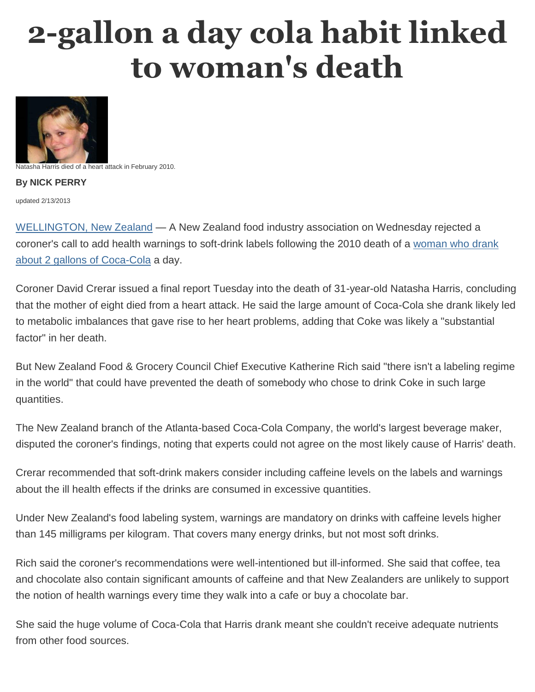## **2-gallon a day cola habit linked to woman's death**



atasha Harris died of a heart attack in February 2010.

**By NICK PERRY**

updated 2/13/2013

[WELLINGTON, New Zealand](http://www.bing.com/maps/?v=2&where1=WELLINGTON,%20New%20Zealand&sty=h&form=msdate) — A New Zealand food industry association on Wednesday rejected a coroner's call to add health warnings to soft-drink labels following the 2010 death of a [woman who drank](http://vitals.nbcnews.com/_news/2012/04/20/11303027-cola-habit-behind-death-of-30-year-old-new-zealand-woman?lite)  [about 2 gallons of Coca-Cola](http://vitals.nbcnews.com/_news/2012/04/20/11303027-cola-habit-behind-death-of-30-year-old-new-zealand-woman?lite) a day.

Coroner David Crerar issued a final report Tuesday into the death of 31-year-old Natasha Harris, concluding that the mother of eight died from a heart attack. He said the large amount of Coca-Cola she drank likely led to metabolic imbalances that gave rise to her heart problems, adding that Coke was likely a "substantial factor" in her death.

But New Zealand Food & Grocery Council Chief Executive Katherine Rich said "there isn't a labeling regime in the world" that could have prevented the death of somebody who chose to drink Coke in such large quantities.

The New Zealand branch of the Atlanta-based Coca-Cola Company, the world's largest beverage maker, disputed the coroner's findings, noting that experts could not agree on the most likely cause of Harris' death.

Crerar recommended that soft-drink makers consider including caffeine levels on the labels and warnings about the ill health effects if the drinks are consumed in excessive quantities.

Under New Zealand's food labeling system, warnings are mandatory on drinks with caffeine levels higher than 145 milligrams per kilogram. That covers many energy drinks, but not most soft drinks.

Rich said the coroner's recommendations were well-intentioned but ill-informed. She said that coffee, tea and chocolate also contain significant amounts of caffeine and that New Zealanders are unlikely to support the notion of health warnings every time they walk into a cafe or buy a chocolate bar.

She said the huge volume of Coca-Cola that Harris drank meant she couldn't receive adequate nutrients from other food sources.